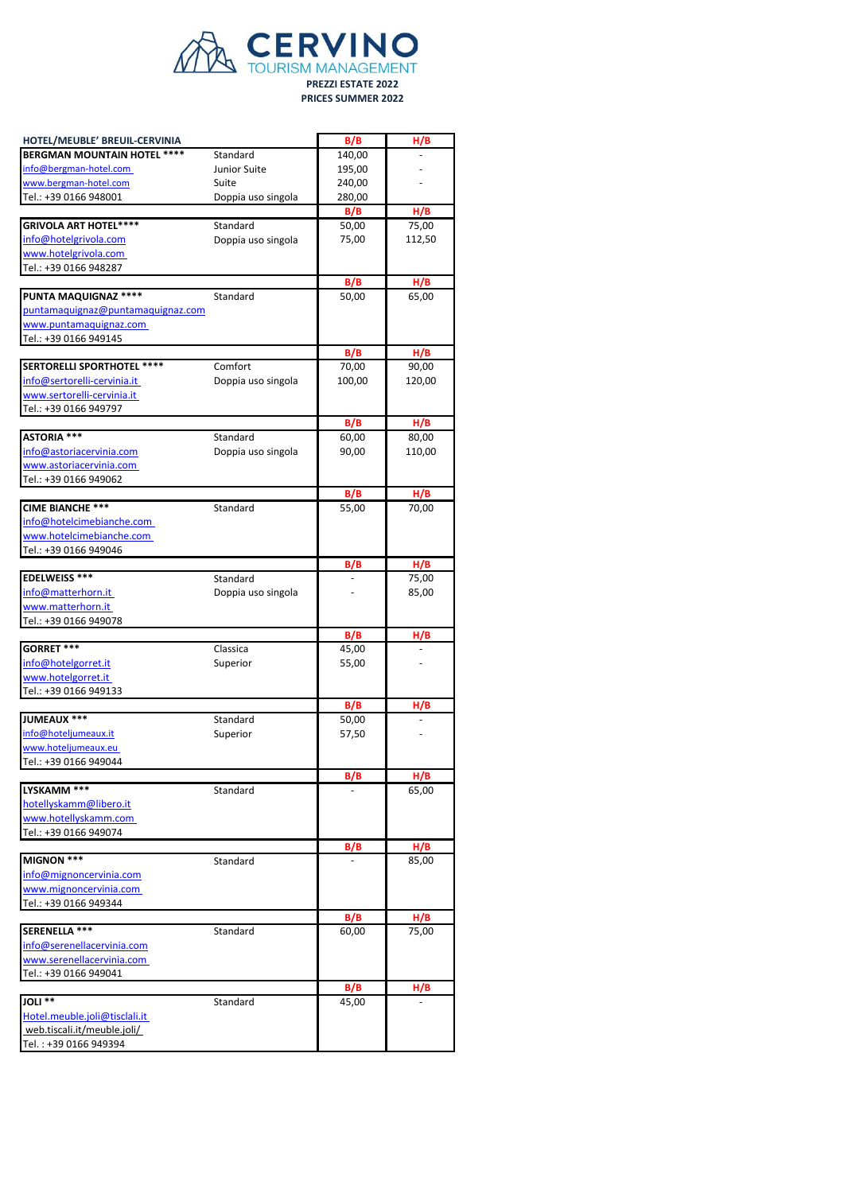

| HOTEL/MEUBLE' BREUIL-CERVINIA<br><b>BERGMAN MOUNTAIN HOTEL ****</b><br>info@bergman-hotel.com<br>www.bergman-hotel.com<br>Tel.: +39 0166 948001<br><b>GRIVOLA ART HOTEL****</b><br>info@hotelgrivola.com<br>www.hotelgrivola.com | Standard<br>Junior Suite<br>Suite<br>Doppia uso singola<br>Standard | B/B<br>140,00<br>195,00<br>240,00<br>280,00<br>B/B | H/B<br>H/B |
|----------------------------------------------------------------------------------------------------------------------------------------------------------------------------------------------------------------------------------|---------------------------------------------------------------------|----------------------------------------------------|------------|
|                                                                                                                                                                                                                                  |                                                                     |                                                    |            |
|                                                                                                                                                                                                                                  |                                                                     |                                                    |            |
|                                                                                                                                                                                                                                  |                                                                     |                                                    |            |
|                                                                                                                                                                                                                                  |                                                                     |                                                    |            |
|                                                                                                                                                                                                                                  |                                                                     |                                                    |            |
|                                                                                                                                                                                                                                  |                                                                     |                                                    |            |
|                                                                                                                                                                                                                                  |                                                                     | 50,00                                              | 75,00      |
|                                                                                                                                                                                                                                  | Doppia uso singola                                                  | 75,00                                              | 112,50     |
|                                                                                                                                                                                                                                  |                                                                     |                                                    |            |
|                                                                                                                                                                                                                                  |                                                                     |                                                    |            |
| Tel.: +39 0166 948287                                                                                                                                                                                                            |                                                                     |                                                    |            |
|                                                                                                                                                                                                                                  |                                                                     | B/B                                                | H/B        |
| <b>PUNTA MAQUIGNAZ ****</b>                                                                                                                                                                                                      | Standard                                                            | 50,00                                              | 65,00      |
| puntamaquignaz@puntamaquignaz.com                                                                                                                                                                                                |                                                                     |                                                    |            |
| www.puntamaquignaz.com                                                                                                                                                                                                           |                                                                     |                                                    |            |
| Tel.: +39 0166 949145                                                                                                                                                                                                            |                                                                     |                                                    |            |
|                                                                                                                                                                                                                                  |                                                                     | B/B                                                | H/B        |
| <b>SERTORELLI SPORTHOTEL ****</b>                                                                                                                                                                                                | Comfort                                                             | 70,00                                              | 90,00      |
| info@sertorelli-cervinia.it                                                                                                                                                                                                      | Doppia uso singola                                                  | 100,00                                             | 120,00     |
| www.sertorelli-cervinia.it                                                                                                                                                                                                       |                                                                     |                                                    |            |
| Tel.: +39 0166 949797                                                                                                                                                                                                            |                                                                     |                                                    |            |
|                                                                                                                                                                                                                                  |                                                                     |                                                    |            |
|                                                                                                                                                                                                                                  |                                                                     | B/B                                                | H/B        |
| <b>ASTORIA ***</b>                                                                                                                                                                                                               | Standard                                                            | 60,00                                              | 80,00      |
| info@astoriacervinia.com                                                                                                                                                                                                         | Doppia uso singola                                                  | 90,00                                              | 110,00     |
| www.astoriacervinia.com                                                                                                                                                                                                          |                                                                     |                                                    |            |
| Tel.: +39 0166 949062                                                                                                                                                                                                            |                                                                     |                                                    |            |
|                                                                                                                                                                                                                                  |                                                                     | B/B                                                | H/B        |
| <b>CIME BIANCHE ***</b>                                                                                                                                                                                                          | Standard                                                            | 55,00                                              | 70,00      |
| info@hotelcimebianche.com                                                                                                                                                                                                        |                                                                     |                                                    |            |
| www.hotelcimebianche.com                                                                                                                                                                                                         |                                                                     |                                                    |            |
| Tel.: +39 0166 949046                                                                                                                                                                                                            |                                                                     |                                                    |            |
|                                                                                                                                                                                                                                  |                                                                     |                                                    | H/B        |
|                                                                                                                                                                                                                                  |                                                                     | B/B                                                |            |
| <b>EDELWEISS ***</b>                                                                                                                                                                                                             | Standard                                                            |                                                    | 75,00      |
| info@matterhorn.it                                                                                                                                                                                                               | Doppia uso singola                                                  |                                                    | 85,00      |
| www.matterhorn.it                                                                                                                                                                                                                |                                                                     |                                                    |            |
| Tel.: +39 0166 949078                                                                                                                                                                                                            |                                                                     |                                                    |            |
|                                                                                                                                                                                                                                  |                                                                     | B/B                                                | H/B        |
| GORRET ***                                                                                                                                                                                                                       | Classica                                                            | 45,00                                              |            |
| info@hotelgorret.it                                                                                                                                                                                                              | Superior                                                            | 55,00                                              |            |
| www.hotelgorret.it                                                                                                                                                                                                               |                                                                     |                                                    |            |
| Tel.: +39 0166 949133                                                                                                                                                                                                            |                                                                     |                                                    |            |
|                                                                                                                                                                                                                                  |                                                                     | B/B                                                | H/B        |
| <b>JUMEAUX ***</b>                                                                                                                                                                                                               | Standard                                                            | 50,00                                              |            |
|                                                                                                                                                                                                                                  |                                                                     |                                                    |            |
| info@hoteljumeaux.it                                                                                                                                                                                                             | Superior                                                            | 57,50                                              |            |
| www.hoteljumeaux.eu                                                                                                                                                                                                              |                                                                     |                                                    |            |
| Tel.: +39 0166 949044                                                                                                                                                                                                            |                                                                     |                                                    |            |
|                                                                                                                                                                                                                                  |                                                                     | B/B                                                | H/B        |
| LYSKAMM ***                                                                                                                                                                                                                      | Standard                                                            |                                                    | 65,00      |
| hotellyskamm@libero.it                                                                                                                                                                                                           |                                                                     |                                                    |            |
| www.hotellyskamm.com                                                                                                                                                                                                             |                                                                     |                                                    |            |
| Tel.: +39 0166 949074                                                                                                                                                                                                            |                                                                     |                                                    |            |
|                                                                                                                                                                                                                                  |                                                                     | B/B                                                | H/B        |
| MIGNON ***                                                                                                                                                                                                                       | Standard                                                            |                                                    | 85,00      |
| info@mignoncervinia.com                                                                                                                                                                                                          |                                                                     |                                                    |            |
|                                                                                                                                                                                                                                  |                                                                     |                                                    |            |
| www.mignoncervinia.com                                                                                                                                                                                                           |                                                                     |                                                    |            |
| Tel.: +39 0166 949344                                                                                                                                                                                                            |                                                                     |                                                    |            |
|                                                                                                                                                                                                                                  |                                                                     | B/B                                                | H/B        |
| SERENELLA ***                                                                                                                                                                                                                    | Standard                                                            | 60,00                                              | 75,00      |
|                                                                                                                                                                                                                                  |                                                                     |                                                    |            |
|                                                                                                                                                                                                                                  |                                                                     |                                                    |            |
| www.serenellacervinia.com                                                                                                                                                                                                        |                                                                     |                                                    |            |
|                                                                                                                                                                                                                                  |                                                                     |                                                    |            |
|                                                                                                                                                                                                                                  |                                                                     |                                                    |            |
|                                                                                                                                                                                                                                  |                                                                     | B/B                                                | H/B        |
| info@serenellacervinia.com<br>Tel.: +39 0166 949041<br>JOLI **                                                                                                                                                                   | Standard                                                            | 45,00                                              |            |
| Hotel.meuble.joli@tisclali.it                                                                                                                                                                                                    |                                                                     |                                                    |            |
| web.tiscali.it/meuble.joli/<br>Tel.: +39 0166 949394                                                                                                                                                                             |                                                                     |                                                    |            |